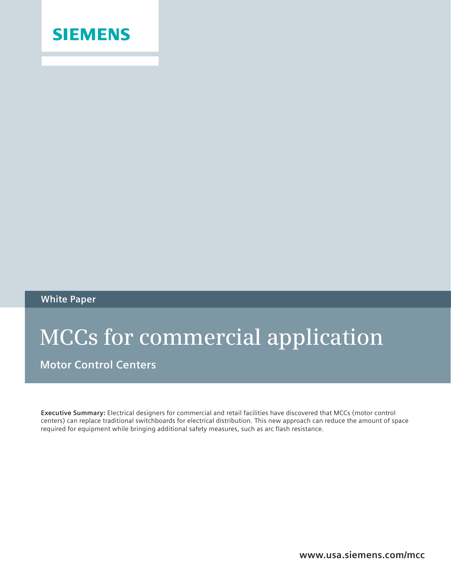

### **White Paper**

# **MCCs for commercial application**

**Motor Control Centers**

**Executive Summary:** Electrical designers for commercial and retail facilities have discovered that MCCs (motor control centers) can replace traditional switchboards for electrical distribution. This new approach can reduce the amount of space required for equipment while bringing additional safety measures, such as arc flash resistance.

**www.usa.siemens.com/mcc**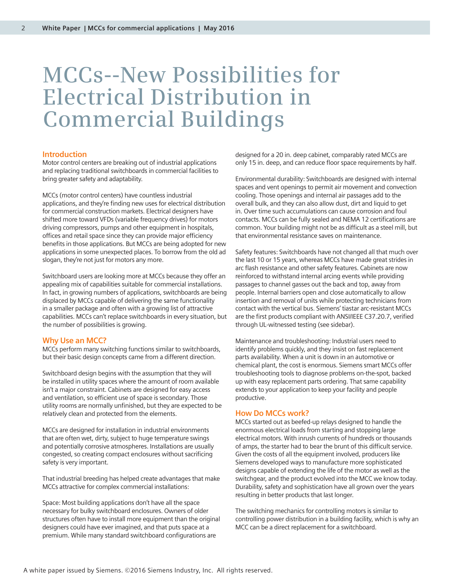## **MCCs--New Possibilities for Electrical Distribution in Commercial Buildings**

#### **Introduction**

Motor control centers are breaking out of industrial applications and replacing traditional switchboards in commercial facilities to bring greater safety and adaptability.

MCCs (motor control centers) have countless industrial applications, and they're finding new uses for electrical distribution for commercial construction markets. Electrical designers have shifted more toward VFDs (variable frequency drives) for motors driving compressors, pumps and other equipment in hospitals, offices and retail space since they can provide major efficiency benefits in those applications. But MCCs are being adopted for new applications in some unexpected places. To borrow from the old ad slogan, they're not just for motors any more.

Switchboard users are looking more at MCCs because they offer an appealing mix of capabilities suitable for commercial installations. In fact, in growing numbers of applications, switchboards are being displaced by MCCs capable of delivering the same functionality in a smaller package and often with a growing list of attractive capabilities. MCCs can't replace switchboards in every situation, but the number of possibilities is growing.

#### **Why Use an MCC?**

MCCs perform many switching functions similar to switchboards, but their basic design concepts came from a different direction.

Switchboard design begins with the assumption that they will be installed in utility spaces where the amount of room available isn't a major constraint. Cabinets are designed for easy access and ventilation, so efficient use of space is secondary. Those utility rooms are normally unfinished, but they are expected to be relatively clean and protected from the elements.

MCCs are designed for installation in industrial environments that are often wet, dirty, subject to huge temperature swings and potentially corrosive atmospheres. Installations are usually congested, so creating compact enclosures without sacrificing safety is very important.

That industrial breeding has helped create advantages that make MCCs attractive for complex commercial installations:

Space: Most building applications don't have all the space necessary for bulky switchboard enclosures. Owners of older structures often have to install more equipment than the original designers could have ever imagined, and that puts space at a premium. While many standard switchboard configurations are

designed for a 20 in. deep cabinet, comparably rated MCCs are only 15 in. deep, and can reduce floor space requirements by half.

Environmental durability: Switchboards are designed with internal spaces and vent openings to permit air movement and convection cooling. Those openings and internal air passages add to the overall bulk, and they can also allow dust, dirt and liquid to get in. Over time such accumulations can cause corrosion and foul contacts. MCCs can be fully sealed and NEMA 12 certifications are common. Your building might not be as difficult as a steel mill, but that environmental resistance saves on maintenance.

Safety features: Switchboards have not changed all that much over the last 10 or 15 years, whereas MCCs have made great strides in arc flash resistance and other safety features. Cabinets are now reinforced to withstand internal arcing events while providing passages to channel gasses out the back and top, away from people. Internal barriers open and close automatically to allow insertion and removal of units while protecting technicians from contact with the vertical bus. Siemens' tiastar arc-resistant MCCs are the first products compliant with ANSI/IEEE C37.20.7, verified through UL-witnessed testing (see sidebar).

Maintenance and troubleshooting: Industrial users need to identify problems quickly, and they insist on fast replacement parts availability. When a unit is down in an automotive or chemical plant, the cost is enormous. Siemens smart MCCs offer troubleshooting tools to diagnose problems on-the-spot, backed up with easy replacement parts ordering. That same capability extends to your application to keep your facility and people productive.

#### **How Do MCCs work?**

MCCs started out as beefed-up relays designed to handle the enormous electrical loads from starting and stopping large electrical motors. With inrush currents of hundreds or thousands of amps, the starter had to bear the brunt of this difficult service. Given the costs of all the equipment involved, producers like Siemens developed ways to manufacture more sophisticated designs capable of extending the life of the motor as well as the switchgear, and the product evolved into the MCC we know today. Durability, safety and sophistication have all grown over the years resulting in better products that last longer.

The switching mechanics for controlling motors is similar to controlling power distribution in a building facility, which is why an MCC can be a direct replacement for a switchboard.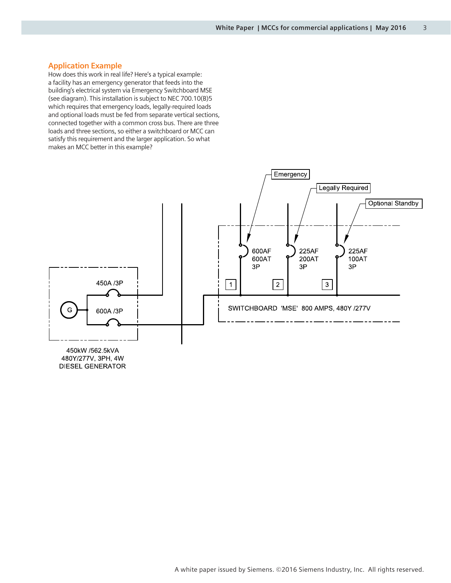#### **Application Example**

How does this work in real life? Here's a typical example: a facility has an emergency generator that feeds into the building's electrical system via Emergency Switchboard MSE (see diagram). This installation is subject to NEC 700.10(B)5 which requires that emergency loads, legally-required loads and optional loads must be fed from separate vertical sections, connected together with a common cross bus. There are three loads and three sections, so either a switchboard or MCC can satisfy this requirement and the larger application. So what makes an MCC better in this example?



A white paper issued by Siemens. ©2016 Siemens Industry, Inc. All rights reserved.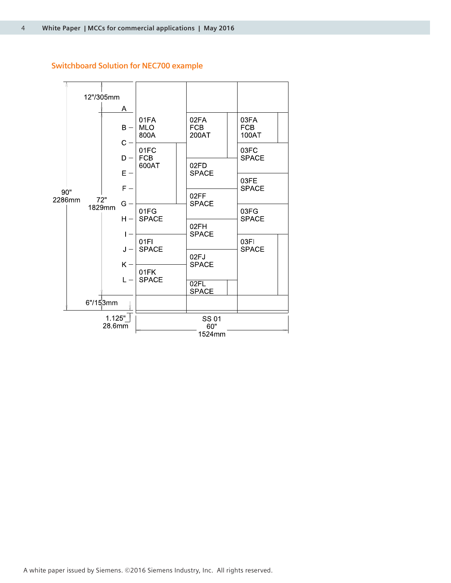#### **Switchboard Solution for NEC700 example**

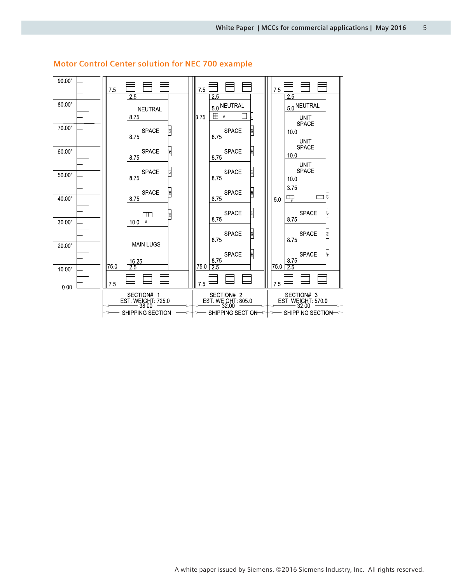

#### **Motor Control Center solution for NEC 700 example**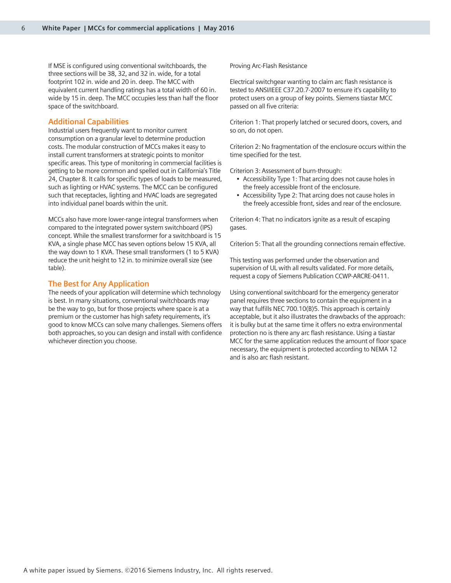If MSE is configured using conventional switchboards, the three sections will be 38, 32, and 32 in. wide, for a total footprint 102 in. wide and 20 in. deep. The MCC with equivalent current handling ratings has a total width of 60 in. wide by 15 in. deep. The MCC occupies less than half the floor space of the switchboard.

#### **Additional Capabilities**

Industrial users frequently want to monitor current consumption on a granular level to determine production costs. The modular construction of MCCs makes it easy to install current transformers at strategic points to monitor specific areas. This type of monitoring in commercial facilities is getting to be more common and spelled out in California's Title 24, Chapter 8. It calls for specific types of loads to be measured, such as lighting or HVAC systems. The MCC can be configured such that receptacles, lighting and HVAC loads are segregated into individual panel boards within the unit.

MCCs also have more lower-range integral transformers when compared to the integrated power system switchboard (IPS) concept. While the smallest transformer for a switchboard is 15 KVA, a single phase MCC has seven options below 15 KVA, all the way down to 1 KVA. These small transformers (1 to 5 KVA) reduce the unit height to 12 in. to minimize overall size (see table).

#### **The Best for Any Application**

The needs of your application will determine which technology is best. In many situations, conventional switchboards may be the way to go, but for those projects where space is at a premium or the customer has high safety requirements, it's good to know MCCs can solve many challenges. Siemens offers both approaches, so you can design and install with confidence whichever direction you choose.

Proving Arc-Flash Resistance

Electrical switchgear wanting to claim arc flash resistance is tested to ANSI/IEEE C37.20.7-2007 to ensure it's capability to protect users on a group of key points. Siemens tiastar MCC passed on all five criteria:

Criterion 1: That properly latched or secured doors, covers, and so on, do not open.

Criterion 2: No fragmentation of the enclosure occurs within the time specified for the test.

Criterion 3: Assessment of burn-through:

- Accessibility Type 1: That arcing does not cause holes in the freely accessible front of the enclosure.
- Accessibility Type 2: That arcing does not cause holes in the freely accessible front, sides and rear of the enclosure.

Criterion 4: That no indicators ignite as a result of escaping gases.

Criterion 5: That all the grounding connections remain effective.

This testing was performed under the observation and supervision of UL with all results validated. For more details, request a copy of Siemens Publication CCWP-ARCRE-0411.

Using conventional switchboard for the emergency generator panel requires three sections to contain the equipment in a way that fulfills NEC 700.10(B)5. This approach is certainly acceptable, but it also illustrates the drawbacks of the approach: it is bulky but at the same time it offers no extra environmental protection no is there any arc flash resistance. Using a tiastar MCC for the same application reduces the amount of floor space necessary, the equipment is protected according to NEMA 12 and is also arc flash resistant.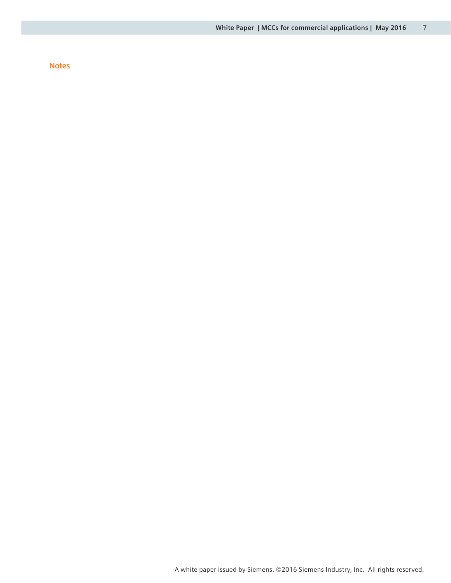#### **Notes**